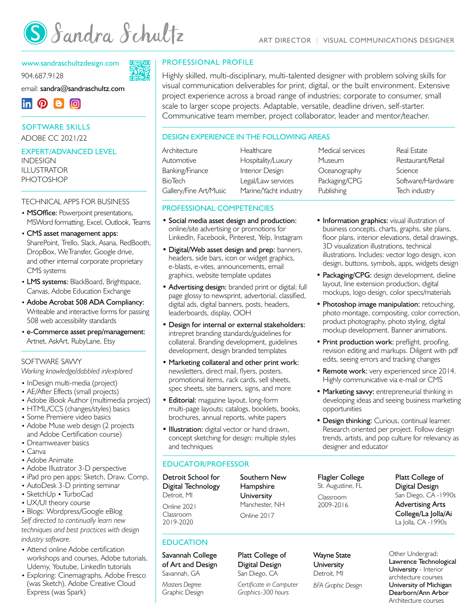

#### [www.sandraschultzdesign.com](http://www.sandraschultzdesign.com)

904.687.9128

email: [sandra@sandraschultz.com](mailto:sandra%40sandraschultz.com?subject=Resume%20response)



#### SOFTWARE SKILLS ADOBE CC 2021/22

# EXPERT/ADVANCED LEVEL

INDESIGN ILLUSTRATOR PHOTOSHOP

#### TECHNICAL APPS FOR BUSINESS

- MSOffice: Powerpoint presentations, MSWord formatting, Excel, Outlook, Teams
- CMS asset management apps: SharePoint, Trello, Slack, Asana, RedBooth, DropBox, WeTransfer, Google drive, and other internal corporate proprietary CMS systems
- LMS systems: BlackBoard, Brightspace, Canvas, Adobe Education Exchange
- Adobe Acrobat 508 ADA Compliancy: Writeable and interactive forms for passing 508 web accessibility standards
- e-Commerce asset prep/management: Artnet, AskArt, RubyLane, Etsy

#### SOFTWARE SAWY

*Working knowledge/dabbled in/explored*

- InDesign multi-media (project)
- AE/After Effects (small projects)
- Adobe iBook Author (multimedia project)
- HTML/CCS (changes/styles) basics
- Some Premiere video basics
- Adobe Muse web design (2 projects and Adobe Certification course)
- Dreamweaver basics
- Canva
- Adobe Animate
- Adobe Illustrator 3-D perspective
- iPad pro pen apps: Sketch, Draw, Comp,
- AutoDesk 3-D printing seminar
- SketchUp TurboCad
- UX/UI theory course • Blogs: Wordpress/Google eBlog

*Self directed to continually learn new techniques and best practices with design industry software.* 

- Attend online Adobe certification workshops and courses, Adobe tutorials, Udemy, Youtube, LinkedIn tutorials
- Exploring: Cinemagraphs, Adobe Fresco (was Sketch), Adobe Creative Cloud Express (was Spark)

#### PROFESSIONAL PROFILE

Highly skilled, multi-disciplinary, multi-talented designer with problem solving skills for visual communication deliverables for print, digital, or the built environment. Extensive project experience across a broad range of industries; corporate to consumer, small scale to larger scope projects. Adaptable, versatile, deadline driven, self-starter. Communicative team member, project collaborator, leader and mentor/teacher.

#### DESIGN EXPERIENCE IN THE FOLLOWING AREAS

| Architecture           | Healthcare            | Medical services | Real Estate       |
|------------------------|-----------------------|------------------|-------------------|
| Automotive             | Hospitality/Luxury    | Museum           | Restaurant/Retail |
| Banking/Finance        | Interior Design       | Oceanography     | Science           |
| BioTech                | Legal/Law services    | Packaging/CPG    | Software/Hardware |
| Gallery/Fine Art/Music | Marine/Yacht industry | Publishing       | Tech industry     |
|                        |                       |                  |                   |

#### PROFESSIONAL COMPETENCIES

- Social media asset design and production: online/site advertising or promotions for LinkedIn, Facebook, Pinterest, Yelp, Instagram
- Digital/Web asset design and prep: banners, headers, side bars, icon or widget graphics, e-blasts, e-vites, announcements, email graphics, website template updates
- Advertising design: branded print or digital; full page glossy to newsprint, advertorial, classified, digital ads, digital banners, posts, headers, leaderboards, display, OOH
- Design for internal or external stakeholders: intrepret branding standards/guidelines for collateral. Branding development, guidelines development, design branded templates
- Marketing collateral and other print work: newsletters, direct mail, flyers, posters, promotional items, rack cards, sell sheets, spec sheets, site banners, signs, and more
- Editorial: magazine layout, long-form multi-page layouts; catalogs, booklets, books, brochures, annual reports, white papers
- Illustration: digital vector or hand drawn, concept sketching for design: multiple styles and techniques

#### EDUCATOR/PROFESSOR

Detroit School for Digital Technology Detroit, MI Online 2021 Classroom 2019-2020

EDUCATION

Savannah College of Art and Design Savannah, GA

*Masters Degree*  Graphic Design [Platt College](http://www.platt.edu) of Digital Design San Diego, CA

Southern New Hampshire **University** Manchester, NH Online 2017

*Certificate in Computer Graphics-300 hours* 

[Platt College](http://www.platt.edu) of Digital Design San Diego, CA -1990s Advertising Arts College/La Jolla/Ai La Jolla, CA -1990s

Other Undergrad: Lawrence Technological University - Interior architecture courses University of Michigan Dearborn/Ann Arbor Architecture courses

• Information graphics: visual illustration of business concepts, charts, graphs, site plans, floor plans, interior elevations, detail drawings, 3D visualization illustrations, technical illustrations. Includes: vector logo design, icon design, buttons, symbols, apps, widgets design

> • Packaging/CPG: design development, dieline layout, line extension production, digital mockups, logo design, color specs/materials

- Photoshop image manipulation: retouching, photo montage, compositing, color correction, product photography, photo styling, digital mockup development. Banner animations.
- Print production work: preflight, proofing, revision editing and markups. Diligent with pdf edits, seeing errors and tracking changes
- Remote work: very experienced since 2014. Highly communicative via e-mail or CMS
- Marketing savvy: entrepreneurial thinking in developing ideas and seeing business marketing opportunities
- Design thinking: Curious, continual learner. Research oriented per project. Follow design trends, artists, and pop culture for relevancy as designer and educator

Flagler College St. Augustine, FL

Classroom 2009-2016



*BFA Graphic Design*